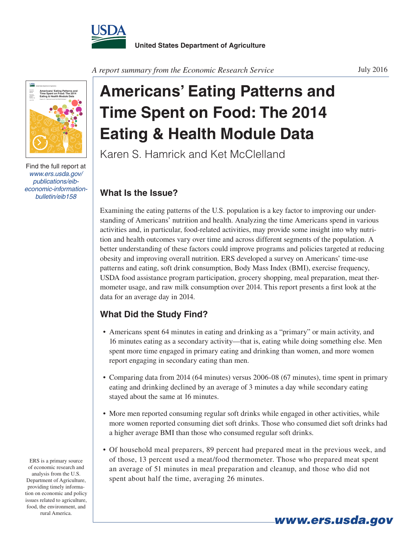



Find the full report at *www.ers.usda.gov/ publications/eibeconomic-information-*

**Americans' Eating Patterns and Time Spent on Food: The 2014 Eating & Health Module Data**

Karen S. Hamrick and Ket McClelland

## *What Is the Issue?*

Examining the eating patterns of the U.S. population is a key factor to improving our understanding of Americans' nutrition and health. Analyzing the time Americans spend in various activities and, in particular, food-related activities, may provide some insight into why nutrition and health outcomes vary over time and across different segments of the population. A better understanding of these factors could improve programs and policies targeted at reducing obesity and improving overall nutrition. ERS developed a survey on Americans' time-use patterns and eating, soft drink consumption, Body Mass Index (BMI), exercise frequency, USDA food assistance program participation, grocery shopping, meal preparation, meat thermometer usage, and raw milk consumption over 2014. This report presents a first look at the data for an average day in 2014.

## **What Did the Study Find?**

- Americans spent 64 minutes in eating and drinking as a "primary" or main activity, and 16 minutes eating as a secondary activity—that is, eating while doing something else. Men spent more time engaged in primary eating and drinking than women, and more women report engaging in secondary eating than men.
- Comparing data from 2014 (64 minutes) versus 2006-08 (67 minutes), time spent in primary eating and drinking declined by an average of 3 minutes a day while secondary eating stayed about the same at 16 minutes.
- More men reported consuming regular soft drinks while engaged in other activities, while more women reported consuming diet soft drinks. Those who consumed diet soft drinks had a higher average BMI than those who consumed regular soft drinks.
- Of household meal preparers, 89 percent had prepared meat in the previous week, and of those, 13 percent used a meat/food thermometer. Those who prepared meat spent an average of 51 minutes in meal preparation and cleanup, and those who did not spent about half the time, averaging 26 minutes.

ERS is a primary source of economic research and analysis from the U.S. Department of Agriculture, providing timely information on economic and policy issues related to agriculture, food, the environment, and rural America.

*www.ers.usda.gov*